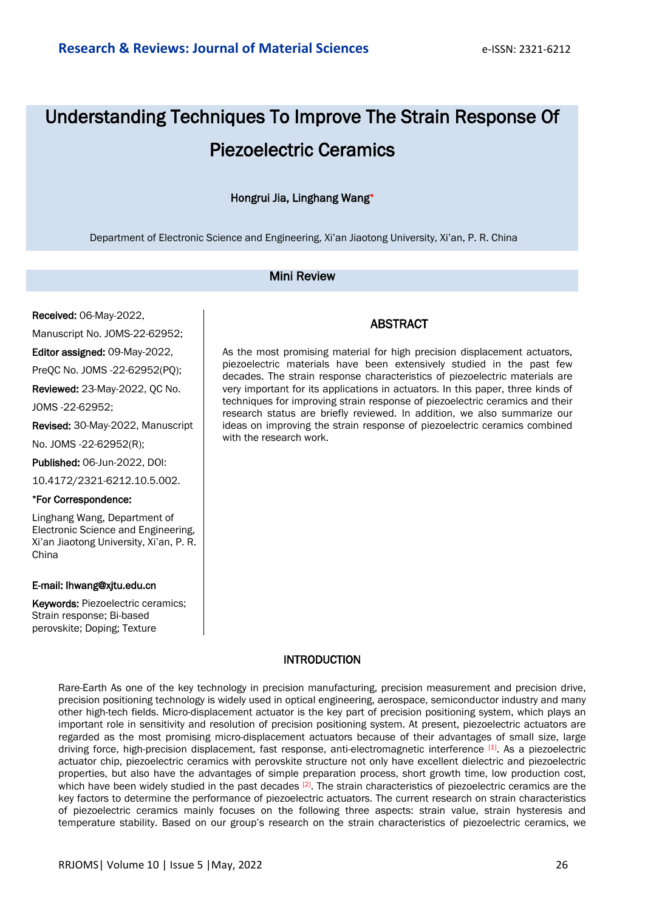# Understanding Techniques To Improve The Strain Response Of Piezoelectric Ceramics

#### Hongrui Jia, Linghang Wang\*

Department of Electronic Science and Engineering, Xi'an Jiaotong University, Xi'an, P. R. China

#### Mini Review

Received: 06-May-2022,

Manuscript No. JOMS-22-62952;

Editor assigned: 09-May-2022,

PreQC No. JOMS -22-62952(PQ);

Reviewed: 23-May-2022, QC No.

JOMS -22-62952;

Revised: 30-May-2022, Manuscript

No. JOMS -22-62952(R);

Published: 06-Jun-2022, DOI:

10.4172/2321-6212.10.5.002.

#### \*For Correspondence:

Linghang Wang, Department of Electronic Science and Engineering, Xi'an Jiaotong University, Xi'an, P. R. China

#### E-mail: lhwang@xjtu.edu.cn

Keywords: Piezoelectric ceramics; Strain response; Bi-based perovskite; Doping; Texture

### ABSTRACT

As the most promising material for high precision displacement actuators, piezoelectric materials have been extensively studied in the past few decades. The strain response characteristics of piezoelectric materials are very important for its applications in actuators. In this paper, three kinds of techniques for improving strain response of piezoelectric ceramics and their research status are briefly reviewed. In addition, we also summarize our ideas on improving the strain response of piezoelectric ceramics combined with the research work.

#### **INTRODUCTION**

Rare-Earth As one of the key technology in precision manufacturing, precision measurement and precision drive, precision positioning technology is widely used in optical engineering, aerospace, semiconductor industry and many other high-tech fields. Micro-displacement actuator is the key part of precision positioning system, which plays an important role in sensitivity and resolution of precision positioning system. At present, piezoelectric actuators are regarded as the most promising micro-displacement actuators because of their advantages of small size, large driving force, high-precision displacement, fast response, anti-electromagnetic interference [1]. As a piezoelectric actuator chip, piezoelectric ceramics with perovskite structure not only have excellent dielectric and piezoelectric properties, but also have the advantages of simple preparation process, short growth time, low production cost, which have been widely studied in the past decades [2]. The strain characteristics of piezoelectric ceramics are the key factors to determine the performance of piezoelectric actuators. The current research on strain characteristics of piezoelectric ceramics mainly focuses on the following three aspects: strain value, strain hysteresis and temperature stability. Based on our group's research on the strain characteristics of piezoelectric ceramics, we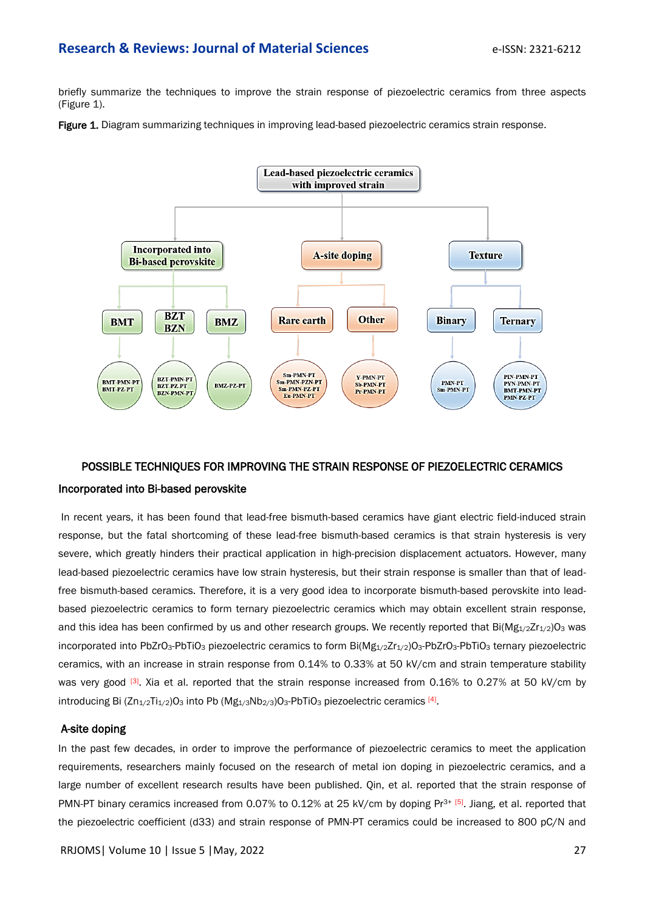#### **Research & Reviews: Journal of Material Sciences Example 2014 e-ISSN: 2321-6212**

briefly summarize the techniques to improve the strain response of piezoelectric ceramics from three aspects (Figure 1).

Figure 1. Diagram summarizing techniques in improving lead-based piezoelectric ceramics strain response.



# POSSIBLE TECHNIQUES FOR IMPROVING THE STRAIN RESPONSE OF PIEZOELECTRIC CERAMICS Incorporated into Bi-based perovskite

 In recent years, it has been found that lead-free bismuth-based ceramics have giant electric field-induced strain response, but the fatal shortcoming of these lead-free bismuth-based ceramics is that strain hysteresis is very severe, which greatly hinders their practical application in high-precision displacement actuators. However, many lead-based piezoelectric ceramics have low strain hysteresis, but their strain response is smaller than that of leadfree bismuth-based ceramics. Therefore, it is a very good idea to incorporate bismuth-based perovskite into leadbased piezoelectric ceramics to form ternary piezoelectric ceramics which may obtain excellent strain response, and this idea has been confirmed by us and other research groups. We recently reported that  $Bi(Mg_{1/2}Zr_{1/2})O_3$  was incorporated into PbZrO<sub>3</sub>-PbTiO<sub>3</sub> piezoelectric ceramics to form Bi( $Mg_{1/2}Zr_{1/2}$ )O<sub>3</sub>-PbZrO<sub>3</sub>-PbTiO<sub>3</sub> ternary piezoelectric ceramics, with an increase in strain response from 0.14% to 0.33% at 50 kV/cm and strain temperature stability was very good <sup>[3]</sup>. Xia et al. reported that the strain response increased from 0.16% to 0.27% at 50 kV/cm by introducing Bi  $(Zn_{1/2}Ti_{1/2})O_3$  into Pb  $(Mg_{1/3}Nb_{2/3})O_3$ -PbTiO<sub>3</sub> piezoelectric ceramics [4].

#### A-site doping

In the past few decades, in order to improve the performance of piezoelectric ceramics to meet the application requirements, researchers mainly focused on the research of metal ion doping in piezoelectric ceramics, and a large number of excellent research results have been published. Qin, et al. reported that the strain response of PMN-PT binary ceramics increased from 0.07% to 0.12% at 25 kV/cm by doping Pr<sup>3+ [5]</sup>. Jiang, et al. reported that the piezoelectric coefficient (d33) and strain response of PMN-PT ceramics could be increased to 800 pC/N and

RRJOMS| Volume 10 | Issue 5 |May, 2022 27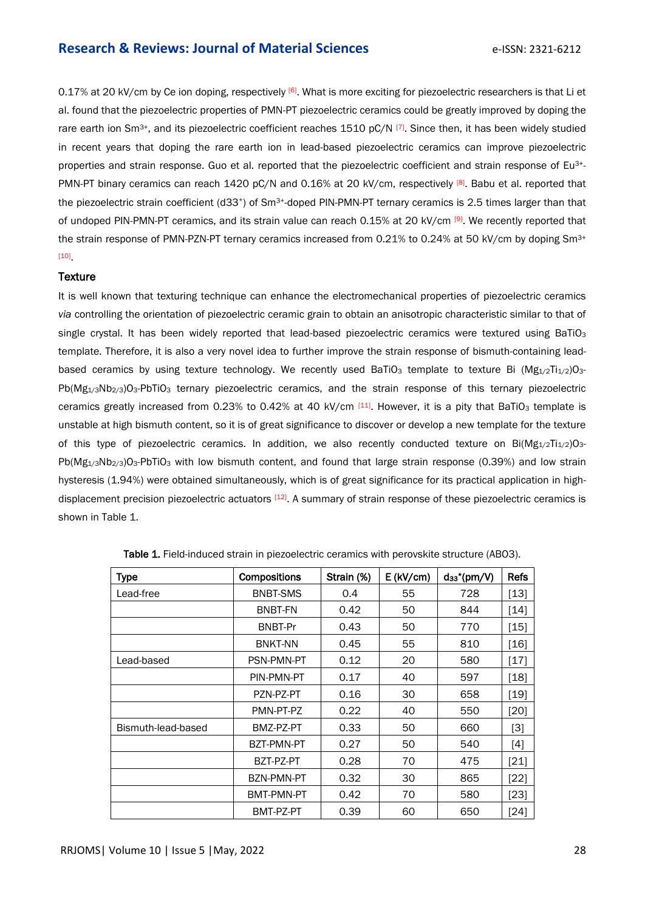#### **Research & Reviews: Journal of Material Sciences Example 2012 e-ISSN: 2321-6212**

0.17% at 20 kV/cm by Ce ion doping, respectively [6]. What is more exciting for piezoelectric researchers is that Li et al. found that the piezoelectric properties of PMN-PT piezoelectric ceramics could be greatly improved by doping the rare earth ion Sm<sup>3+</sup>, and its piezoelectric coefficient reaches 1510 pC/N  $^{[7]}$ . Since then, it has been widely studied in recent years that doping the rare earth ion in lead-based piezoelectric ceramics can improve piezoelectric properties and strain response. Guo et al. reported that the piezoelectric coefficient and strain response of Eu<sup>3+</sup>-PMN-PT binary ceramics can reach 1420 pC/N and 0.16% at 20 kV/cm, respectively [8]. Babu et al. reported that the piezoelectric strain coefficient (d33\*) of Sm<sup>3+</sup>-doped PIN-PMN-PT ternary ceramics is 2.5 times larger than that of undoped PIN-PMN-PT ceramics, and its strain value can reach 0.15% at 20 kV/cm [9]. We recently reported that the strain response of PMN-PZN-PT ternary ceramics increased from 0.21% to 0.24% at 50 kV/cm by doping Sm<sup>3+</sup> [10] .

#### **Texture**

It is well known that texturing technique can enhance the electromechanical properties of piezoelectric ceramics *via* controlling the orientation of piezoelectric ceramic grain to obtain an anisotropic characteristic similar to that of single crystal. It has been widely reported that lead-based piezoelectric ceramics were textured using BaTiO<sub>3</sub> template. Therefore, it is also a very novel idea to further improve the strain response of bismuth-containing leadbased ceramics by using texture technology. We recently used BaTiO<sub>3</sub> template to texture Bi ( $Mg_{1/2}Ti_{1/2}O_{3}$ -Pb(Mg<sub>1/3</sub>Nb<sub>2/3</sub>)O<sub>3</sub>-PbTiO<sub>3</sub> ternary piezoelectric ceramics, and the strain response of this ternary piezoelectric ceramics greatly increased from 0.23% to 0.42% at 40 kV/cm [11]. However, it is a pity that BaTiO<sub>3</sub> template is unstable at high bismuth content, so it is of great significance to discover or develop a new template for the texture of this type of piezoelectric ceramics. In addition, we also recently conducted texture on  $Bi(Mg_{1/2}Ti_{1/2})O_{3-}$ Pb(Mg<sub>1/3</sub>Nb<sub>2/3</sub>)O<sub>3</sub>-PbTiO<sub>3</sub> with low bismuth content, and found that large strain response (0.39%) and low strain hysteresis (1.94%) were obtained simultaneously, which is of great significance for its practical application in highdisplacement precision piezoelectric actuators [12]. A summary of strain response of these piezoelectric ceramics is shown in Table 1.

| <b>Type</b>        | Compositions      | Strain (%) | $E$ (kV/cm) | $ds^*(pm/V)$ | <b>Refs</b>                                                                                                                                                    |
|--------------------|-------------------|------------|-------------|--------------|----------------------------------------------------------------------------------------------------------------------------------------------------------------|
| Lead-free          | <b>BNBT-SMS</b>   | 0.4        | 55          | 728          | $[13]$                                                                                                                                                         |
|                    | <b>BNBT-FN</b>    | 0.42       | 50          | 844          | $[14]$                                                                                                                                                         |
|                    | BNBT-Pr           | 0.43       | 50          | 770          | $[15]$                                                                                                                                                         |
|                    | <b>BNKT-NN</b>    | 0.45       | 55          | 810          | $[16]$                                                                                                                                                         |
| Lead-based         | <b>PSN-PMN-PT</b> | 0.12       | 20          | 580          | $[17]$                                                                                                                                                         |
|                    | PIN-PMN-PT        | 0.17       | 40          | 597          | $[18]$                                                                                                                                                         |
|                    | PZN-PZ-PT         | 0.16       | 30          | 658          | $[19]$                                                                                                                                                         |
|                    | PMN-PT-PZ         | 0.22       | 40          | 550          | [20]                                                                                                                                                           |
| Bismuth-lead-based | BMZ-PZ-PT         | 0.33       | 50          | 660          | $[3]$                                                                                                                                                          |
|                    | BZT-PMN-PT        | 0.27       | 50          | 540          | $[4] % \includegraphics[width=0.9\columnwidth]{images/TrDiM1.png} \caption{The figure shows the number of parameters in the left and right.} \label{TrDiM2} %$ |
|                    | BZT-PZ-PT         | 0.28       | 70          | 475          | $[21]$                                                                                                                                                         |
|                    | BZN-PMN-PT        | 0.32       | 30          | 865          | $[22]$                                                                                                                                                         |
|                    | BMT-PMN-PT        | 0.42       | 70          | 580          | $[23]$                                                                                                                                                         |
|                    | BMT-PZ-PT         | 0.39       | 60          | 650          | $[24]$                                                                                                                                                         |

| Table 1. Field-induced strain in piezoelectric ceramics with perovskite structure (ABO3). |  |  |
|-------------------------------------------------------------------------------------------|--|--|
|                                                                                           |  |  |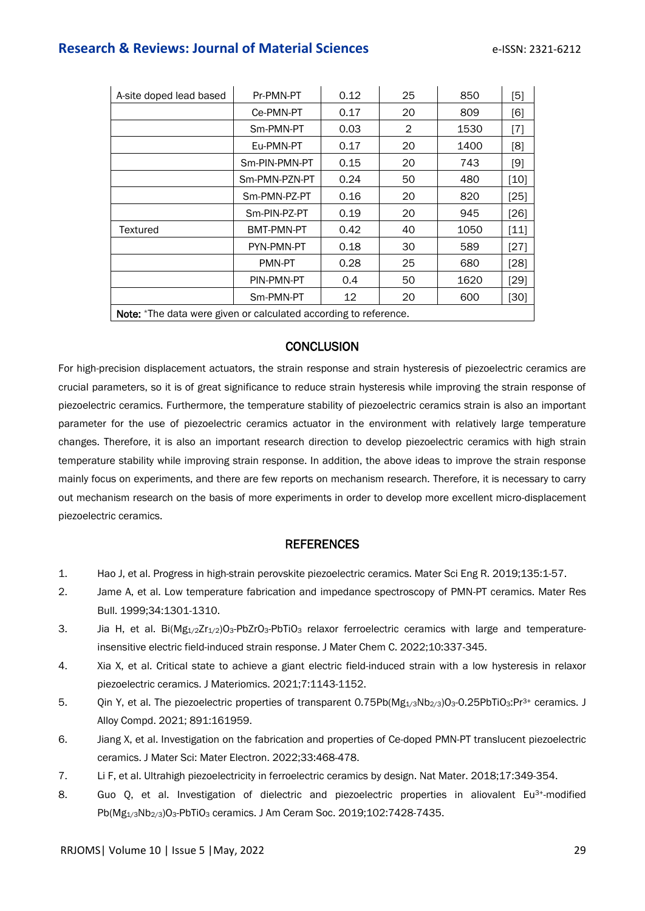## **Research & Reviews: Journal of Material Sciences Example 2012 e-ISSN: 2321-6212**

| A-site doped lead based                                          | Pr-PMN-PT     | 0.12 | 25 | 850  | [5]    |  |  |
|------------------------------------------------------------------|---------------|------|----|------|--------|--|--|
|                                                                  | Ce-PMN-PT     | 0.17 | 20 | 809  | [6]    |  |  |
|                                                                  | Sm-PMN-PT     | 0.03 | 2  | 1530 | [7]    |  |  |
|                                                                  | Eu-PMN-PT     | 0.17 | 20 | 1400 | [8]    |  |  |
|                                                                  | Sm-PIN-PMN-PT | 0.15 | 20 | 743  | [9]    |  |  |
|                                                                  | Sm-PMN-PZN-PT | 0.24 | 50 | 480  | [10]   |  |  |
|                                                                  | Sm-PMN-PZ-PT  | 0.16 | 20 | 820  | [25]   |  |  |
|                                                                  | Sm-PIN-PZ-PT  | 0.19 | 20 | 945  | [26]   |  |  |
| Textured                                                         | BMT-PMN-PT    | 0.42 | 40 | 1050 | $[11]$ |  |  |
|                                                                  | PYN-PMN-PT    | 0.18 | 30 | 589  | $[27]$ |  |  |
|                                                                  | PMN-PT        | 0.28 | 25 | 680  | [28]   |  |  |
|                                                                  | PIN-PMN-PT    | 0.4  | 50 | 1620 | $[29]$ |  |  |
|                                                                  | Sm-PMN-PT     | 12   | 20 | 600  | [30]   |  |  |
| Note: *The data were given or calculated according to reference. |               |      |    |      |        |  |  |

#### **CONCLUSION**

For high-precision displacement actuators, the strain response and strain hysteresis of piezoelectric ceramics are crucial parameters, so it is of great significance to reduce strain hysteresis while improving the strain response of piezoelectric ceramics. Furthermore, the temperature stability of piezoelectric ceramics strain is also an important parameter for the use of piezoelectric ceramics actuator in the environment with relatively large temperature changes. Therefore, it is also an important research direction to develop piezoelectric ceramics with high strain temperature stability while improving strain response. In addition, the above ideas to improve the strain response mainly focus on experiments, and there are few reports on mechanism research. Therefore, it is necessary to carry out mechanism research on the basis of more experiments in order to develop more excellent micro-displacement piezoelectric ceramics.

#### **REFERENCES**

- 1. Hao J, et al. [Progress in high-strain perovskite piezoelectric ceramics.](https://www.sciencedirect.com/science/article/abs/pii/S0927796X1830069X) Mater Sci Eng R. 2019;135:1-57.
- 2. Jame A, et al. [Low temperature fabrication and impedance spectroscopy of PMN-PT ceramics.](https://www.sciencedirect.com/science/article/abs/pii/S0025540899001270) Mater Res Bull. 1999;34:1301-1310.
- 3. Jia H, et al. Bi(Mg<sub>1/2</sub>Zr<sub>1/2</sub>)O<sub>3</sub>-PbZrO<sub>3</sub>-PbTiO<sub>3</sub> [relaxor ferroelectric ceramics with large and temperature](https://pubs.rsc.org/en/content/articlehtml/2021/tc/d1tc04908a)[insensitive electric field-induced strain response.](https://pubs.rsc.org/en/content/articlehtml/2021/tc/d1tc04908a) J Mater Chem C. 2022;10:337-345.
- 4. Xia X, et al. [Critical state to achieve a giant electric field-induced strain with a low hysteresis in relaxor](https://www.sciencedirect.com/science/article/pii/S2352847821000150)  [piezoelectric ceramics.](https://www.sciencedirect.com/science/article/pii/S2352847821000150) J Materiomics. 2021;7:1143-1152.
- 5. Qin Y, et al. [The piezoelectric properties of transparent 0.75Pb\(Mg](https://www.sciencedirect.com/science/article/abs/pii/S0925838821033685)<sub>1/3</sub>Nb<sub>2/3</sub>)O<sub>3</sub>-0.25PbTiO<sub>3</sub>:Pr<sup>3+</sup> ceramics. J Alloy Compd. 2021; 891:161959.
- 6. Jiang X, et al. [Investigation on the fabrication and properties of Ce-doped PMN-PT translucent piezoelectric](https://link.springer.com/article/10.1007/s10854-021-07320-4)  [ceramics.](https://link.springer.com/article/10.1007/s10854-021-07320-4) J Mater Sci: Mater Electron. 2022;33:468-478.
- 7. Li F, et al. [Ultrahigh piezoelectricity in ferroelectric ceramics by design.](https://www.nature.com/articles/s41563-018-0034-4:) Nat Mater. 2018;17:349-354.
- 8. Guo Q, et al. [Investigation of dielectric and piezoelectric properties in aliovalent Eu](https://ceramics.onlinelibrary.wiley.com/doi/abs/10.1111/jace.16653)<sup>3+</sup>-modified Pb(Mg<sub>1/3</sub>Nb<sub>2/3</sub>)O<sub>3</sub>-PbTiO<sub>3</sub> [ceramics.](https://ceramics.onlinelibrary.wiley.com/doi/abs/10.1111/jace.16653) J Am Ceram Soc. 2019;102:7428-7435.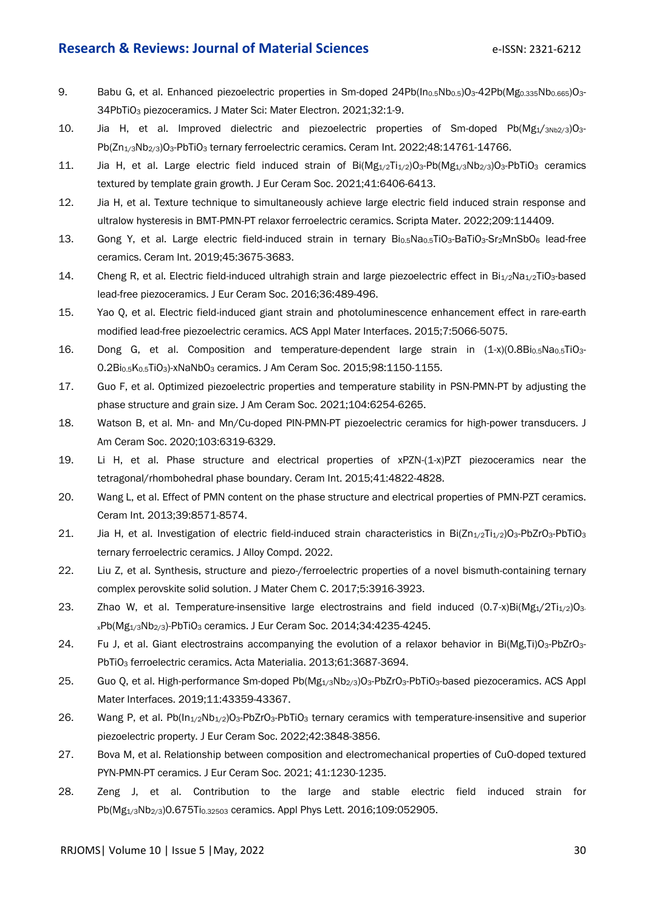#### **Research & Reviews: Journal of Material Sciences Example 2018** e-ISSN: 2321-6212

- 9. Babu G, et al. Enhanced piezoelectric properties in Sm-doped  $24Pb(ln_{0.5}Nb_{0.5})O_3-42Pb(Mg_{0.335}Nb_{0.665})O_3-42P_3$ 34PbTiO<sup>3</sup> [piezoceramics.](https://link.springer.com/article/10.1007/s10854-020-05075-y) J Mater Sci: Mater Electron. 2021;32:1-9.
- 10. Jia H, et al. [Improved dielectric and piezoelectric properties of Sm-doped Pb\(Mg](https://www.sciencedirect.com/science/article/pii/S0272884222004072)1/3Nb2/3)O3 Pb(Zn<sub>1/3</sub>Nb<sub>2/3</sub>)O<sub>3</sub>-PbTiO<sub>3</sub> [ternary ferroelectric ceramics.](https://www.sciencedirect.com/science/article/pii/S0272884222004072) Ceram Int. 2022;48:14761-14766.
- 11. Jia H, et al. Large electric field induced strain of  $Bi(Mg_{1/2}Ti_{1/2})O_3-Pb(Mg_{1/3}Nb_{2/3})O_3-PbTiO_3$  ceramics [textured by template grain growth.](https://www.sciencedirect.com/science/article/abs/pii/S0955221921004702) J Eur Ceram Soc. 2021;41:6406-6413.
- 12. Jia H, et al. [Texture technique to simultaneously achieve large electric field induced strain response and](https://www.sciencedirect.com/science/article/abs/pii/S1359646221006898)  [ultralow hysteresis in BMT-PMN-PT relaxor ferroelectric ceramics.](https://www.sciencedirect.com/science/article/abs/pii/S1359646221006898) Scripta Mater. 2022;209:114409.
- 13. Gong Y, et al. [Large electric field-induced strain in ternary Bi](https://www.sciencedirect.com/science/article/pii/S0272884218336204)<sub>0.5</sub>Na<sub>0.5</sub>TiO<sub>3</sub>-BaTiO<sub>3</sub>-Sr<sub>2</sub>MnSbO<sub>6</sub> lead-free [ceramics.](https://www.sciencedirect.com/science/article/pii/S0272884218336204) Ceram Int. 2019;45:3675-3683.
- 14. Cheng R, et al. [Electric field-induced ultrahigh strain and large piezoelectric effect in Bi](https://www.sciencedirect.com/science/article/abs/pii/S095522191530162X) $_{1/2}$ Na<sub>1/2</sub>TiO<sub>3</sub>-based [lead-free piezoceramics.](https://www.sciencedirect.com/science/article/abs/pii/S095522191530162X) J Eur Ceram Soc. 2016;36:489-496.
- 15. Yao Q, et al. [Electric field-induced giant strain and photoluminescence enhancement effect in rare-earth](https://pubs.acs.org/doi/abs/10.1021/acsami.5b00420)  [modified lead-free piezoelectric ceramics.](https://pubs.acs.org/doi/abs/10.1021/acsami.5b00420) ACS Appl Mater Interfaces. 2015;7:5066-5075.
- 16. Dong G, et al. Composition and temperature-dependent large strain in  $(1-x)(0.8Bi_{0.5}Na_{0.5}TiO<sub>3</sub> -$ 0.2Bi0.5K0.5TiO3)-xNaNbO<sup>3</sup> [ceramics.](https://ceramics.onlinelibrary.wiley.com/doi/abs/10.1111/jace.13407) J Am Ceram Soc. 2015;98:1150-1155.
- 17. Guo F, et al. [Optimized piezoelectric properties and temperature stability in PSN-PMN-PT by adjusting the](https://ceramics.onlinelibrary.wiley.com/doi/abs/10.1111/jace.18005)  [phase structure and grain size.](https://ceramics.onlinelibrary.wiley.com/doi/abs/10.1111/jace.18005) J Am Ceram Soc. 2021;104:6254-6265.
- 18. Watson B, et al. Mn- [and Mn/Cu-doped PIN-PMN-PT piezoelectric ceramics for high-power transducers.](https://ceramics.onlinelibrary.wiley.com/doi/abs/10.1111/jace.17347) J Am Ceram Soc. 2020;103:6319-6329.
- 19. Li H, et al. [Phase structure and electrical properties of xPZN-\(1-x\)PZT piezoceramics near the](https://www.sciencedirect.com/science/article/pii/S0272884214019592)  [tetragonal/rhombohedral phase boundary.](https://www.sciencedirect.com/science/article/pii/S0272884214019592) Ceram Int. 2015;41:4822-4828.
- 20. Wang L, et al. [Effect of PMN content on the phase structure and electrical properties of PMN-PZT ceramics.](https://www.sciencedirect.com/science/article/pii/S0272884213004136) Ceram Int. 2013;39:8571-8574.
- 21. Jia H, et al. [Investigation of electric field-induced strain characteristics in Bi\(Zn](https://papers.ssrn.com/sol3/papers.cfm?abstract_id=4077606)<sub>1/2</sub>Ti<sub>1/2</sub>)O<sub>3</sub>-PbZrO<sub>3</sub>-PbTiO<sub>3</sub> [ternary ferroelectric ceramics.](https://papers.ssrn.com/sol3/papers.cfm?abstract_id=4077606) J Alloy Compd. 2022.
- 22. Liu Z, et al. [Synthesis, structure and piezo-/ferroelectric properties of a novel bismuth-containing ternary](https://pubs.rsc.org/en/content/articlelanding/2017/tc/c7tc00571g/unauth)  [complex perovskite solid solution.](https://pubs.rsc.org/en/content/articlelanding/2017/tc/c7tc00571g/unauth) J Mater Chem C. 2017;5:3916-3923.
- 23. Zhao W, et al. Temperature-insensitive large electrostrains and field induced  $(0.7-x)Bi(Mg<sub>1</sub>/2Ti<sub>1/2</sub>)O<sub>3</sub>$  $xPb(Mg_{1/3}Nb_{2/3})-PbTiO_3$  [ceramics.](https://www.sciencedirect.com/science/article/abs/pii/S0955221914003859) J Eur Ceram Soc. 2014;34:4235-4245.
- 24. Fu J, et al. [Giant electrostrains accompanying the evolution of a relaxor behavior in Bi\(Mg,Ti\)O](https://www.sciencedirect.com/science/article/abs/pii/S1359645413001882)<sub>3</sub>-PbZrO<sub>3</sub>-PbTiO<sup>3</sup> [ferroelectric ceramics.](https://www.sciencedirect.com/science/article/abs/pii/S1359645413001882) Acta Materialia. 2013;61:3687-3694.
- 25. Guo Q, et al. [High-performance Sm-doped Pb\(Mg](https://pubs.acs.org/doi/abs/10.1021/acsami.9b15424)<sub>1/3</sub>Nb<sub>2/3</sub>)O<sub>3</sub>-PbZrO<sub>3</sub>-PbTiO<sub>3</sub>-based piezoceramics. ACS Appl Mater Interfaces. 2019;11:43359-43367.
- 26. Wang P, et al. Pb(In<sub>1/2</sub>Nb<sub>1/2</sub>)O<sub>3</sub>-PbZrO<sub>3</sub>-PbTiO<sub>3</sub> ternary ceramics with temperature-insensitive and superior [piezoelectric property.](https://www.sciencedirect.com/science/article/abs/pii/S0955221922001972) J Eur Ceram Soc. 2022;42:3848-3856.
- 27. Bova M, et al. [Relationship between composition and electromechanical properties of CuO-doped textured](https://www.sciencedirect.com/science/article/abs/pii/S0955221920307755)  [PYN-PMN-PT ceramics.](https://www.sciencedirect.com/science/article/abs/pii/S0955221920307755) J Eur Ceram Soc. 2021; 41:1230-1235.
- 28. Zeng J, et al. [Contribution to the large and stable electric field induced strain for](https://aip.scitation.org/doi/abs/10.1063/1.4960520)  Pb(Mg<sub>1/3</sub>Nb<sub>2/3</sub>)0.675Ti<sub>0.32503</sub> [ceramics.](https://aip.scitation.org/doi/abs/10.1063/1.4960520) Appl Phys Lett. 2016;109:052905.